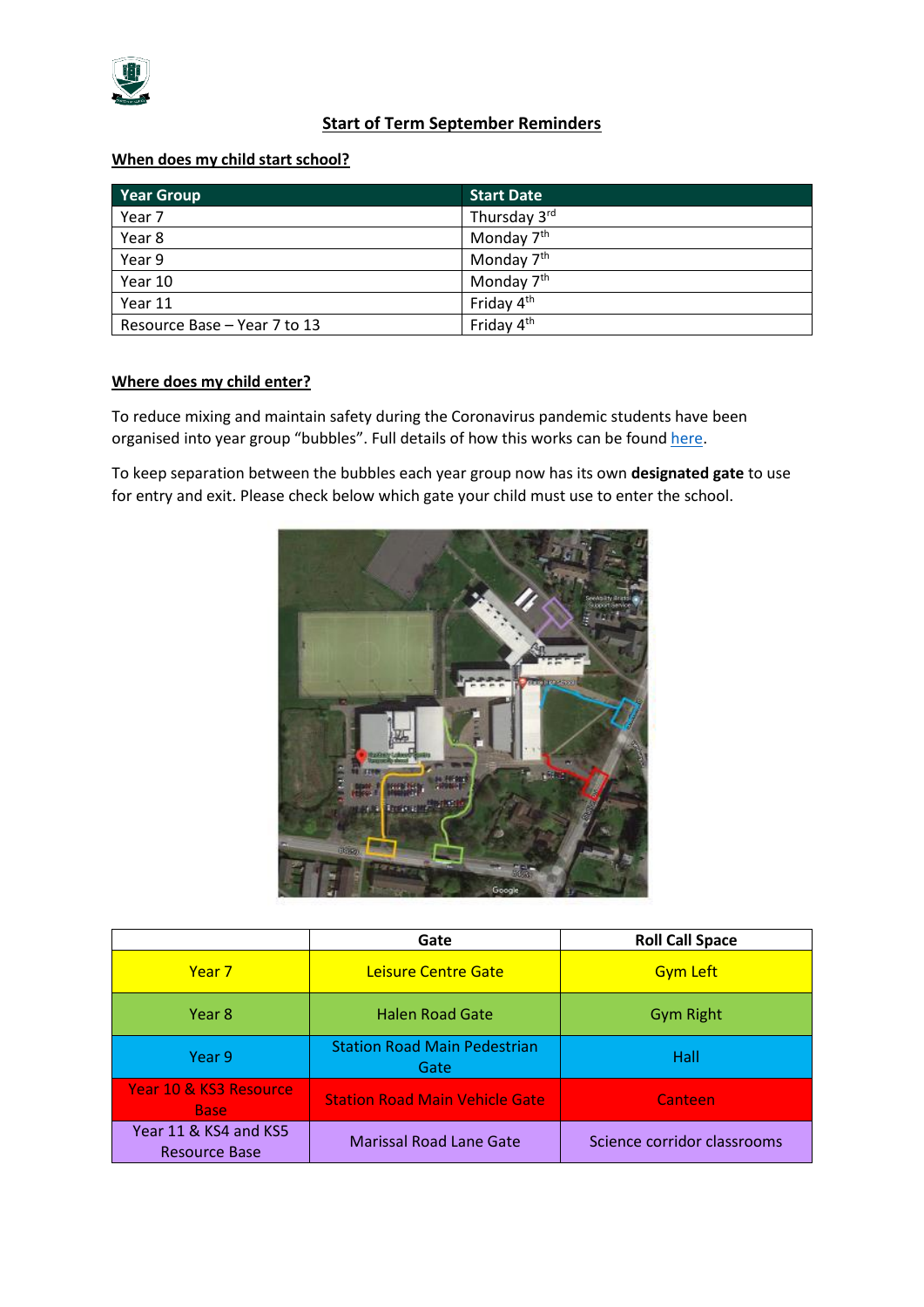

# **Start of Term September Reminders**

### **When does my child start school?**

| <b>Year Group</b>            | <b>Start Date</b>      |
|------------------------------|------------------------|
| Year 7                       | Thursday 3rd           |
| Year 8                       | Monday 7 <sup>th</sup> |
| Year 9                       | Monday 7 <sup>th</sup> |
| Year 10                      | Monday 7 <sup>th</sup> |
| Year 11                      | Friday 4 <sup>th</sup> |
| Resource Base - Year 7 to 13 | Friday 4 <sup>th</sup> |

#### **Where does my child enter?**

To reduce mixing and maintain safety during the Coronavirus pandemic students have been organised into year group "bubbles". Full details of how this works can be foun[d here.](http://www.blaisehighschool.co.uk/news-events/latest/blaise-high-school-re-opening-information)

To keep separation between the bubbles each year group now has its own **designated gate** to use for entry and exit. Please check below which gate your child must use to enter the school.



|                                               | Gate                                        | <b>Roll Call Space</b>      |
|-----------------------------------------------|---------------------------------------------|-----------------------------|
| Year <sub>7</sub>                             | Leisure Centre Gate                         | <b>Gym Left</b>             |
| Year 8                                        | <b>Halen Road Gate</b>                      | <b>Gym Right</b>            |
| Year 9                                        | <b>Station Road Main Pedestrian</b><br>Gate | Hall                        |
| Year 10 & KS3 Resource<br><b>Base</b>         | <b>Station Road Main Vehicle Gate</b>       | <b>Canteen</b>              |
| Year 11 & KS4 and KS5<br><b>Resource Base</b> | <b>Marissal Road Lane Gate</b>              | Science corridor classrooms |